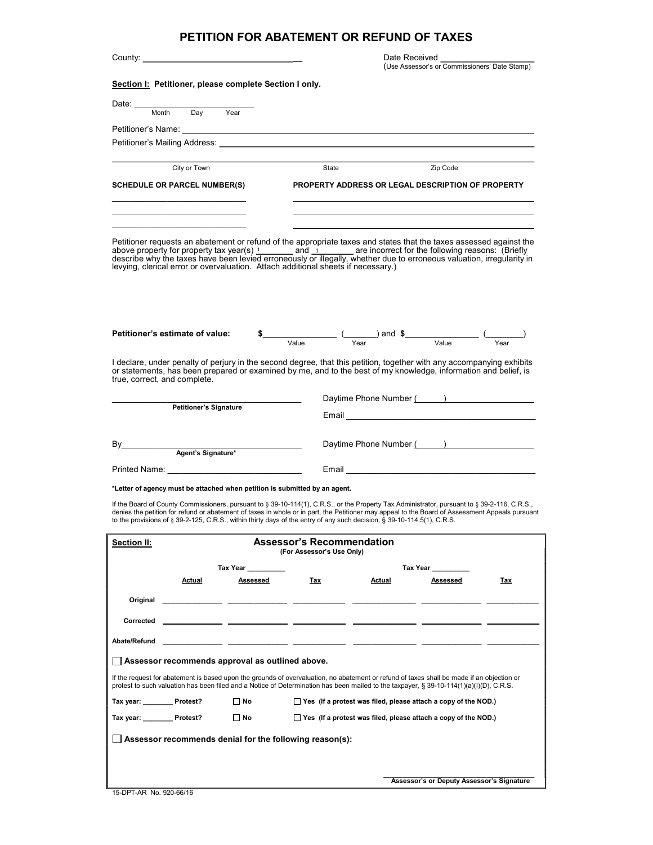## PETITION FOR ABATEMENT OR REFUND OF TAXES

|                                                                                                                                                                                                                                                                                                                                                                                                                                                  |           |                                                                                                                                                                                                                                                                                                                                                                       | Date Received<br>(Use Assessor's or Commissioners' Date Stamp) |                                                                       |     |  |  |  |
|--------------------------------------------------------------------------------------------------------------------------------------------------------------------------------------------------------------------------------------------------------------------------------------------------------------------------------------------------------------------------------------------------------------------------------------------------|-----------|-----------------------------------------------------------------------------------------------------------------------------------------------------------------------------------------------------------------------------------------------------------------------------------------------------------------------------------------------------------------------|----------------------------------------------------------------|-----------------------------------------------------------------------|-----|--|--|--|
|                                                                                                                                                                                                                                                                                                                                                                                                                                                  |           |                                                                                                                                                                                                                                                                                                                                                                       |                                                                |                                                                       |     |  |  |  |
| Section I: Petitioner, please complete Section I only.                                                                                                                                                                                                                                                                                                                                                                                           |           |                                                                                                                                                                                                                                                                                                                                                                       |                                                                |                                                                       |     |  |  |  |
| Date: Month Da<br>$\overline{Day}$                                                                                                                                                                                                                                                                                                                                                                                                               | Year      |                                                                                                                                                                                                                                                                                                                                                                       |                                                                |                                                                       |     |  |  |  |
|                                                                                                                                                                                                                                                                                                                                                                                                                                                  |           |                                                                                                                                                                                                                                                                                                                                                                       |                                                                |                                                                       |     |  |  |  |
| Petitioner's Name: The contract of the contract of the contract of the contract of the contract of the contract of the contract of the contract of the contract of the contract of the contract of the contract of the contrac                                                                                                                                                                                                                   |           |                                                                                                                                                                                                                                                                                                                                                                       |                                                                |                                                                       |     |  |  |  |
| Petitioner's Mailing Address: Note of the Contract of the Contract of the Contract of the Contract of the Contract of the Contract of the Contract of the Contract of the Contract of the Contract of the Contract of the Cont                                                                                                                                                                                                                   |           |                                                                                                                                                                                                                                                                                                                                                                       |                                                                |                                                                       |     |  |  |  |
| City or Town                                                                                                                                                                                                                                                                                                                                                                                                                                     |           | State                                                                                                                                                                                                                                                                                                                                                                 |                                                                | Zip Code                                                              |     |  |  |  |
|                                                                                                                                                                                                                                                                                                                                                                                                                                                  |           |                                                                                                                                                                                                                                                                                                                                                                       |                                                                |                                                                       |     |  |  |  |
| <b>SCHEDULE OR PARCEL NUMBER(S)</b>                                                                                                                                                                                                                                                                                                                                                                                                              |           | PROPERTY ADDRESS OR LEGAL DESCRIPTION OF PROPERTY                                                                                                                                                                                                                                                                                                                     |                                                                |                                                                       |     |  |  |  |
|                                                                                                                                                                                                                                                                                                                                                                                                                                                  |           |                                                                                                                                                                                                                                                                                                                                                                       |                                                                |                                                                       |     |  |  |  |
|                                                                                                                                                                                                                                                                                                                                                                                                                                                  |           |                                                                                                                                                                                                                                                                                                                                                                       |                                                                |                                                                       |     |  |  |  |
| Petitioner requests an abatement or refund of the appropriate taxes and states that the taxes assessed against the<br>above property for property tax year(s) $\frac{1}{1}$ and $\frac{1}{1}$ are incorrect for the following reasons: (Briefly describe why the taxes have been levied erroneously or illegally, whether due to erroneous valuation, irreg<br>levying, clerical error or overvaluation. Attach additional sheets if necessary.) |           |                                                                                                                                                                                                                                                                                                                                                                       |                                                                |                                                                       |     |  |  |  |
| Petitioner's estimate of value:<br>I declare, under penalty of perjury in the second degree, that this petition, together with any accompanying exhibits                                                                                                                                                                                                                                                                                         |           | $\frac{1}{\sqrt{5}}$ $\frac{1}{\sqrt{5}}$ $\frac{1}{\sqrt{5}}$ and $\frac{1}{\sqrt{5}}$ $\frac{1}{\sqrt{5}}$ $\frac{1}{\sqrt{5}}$ $\frac{1}{\sqrt{5}}$ $\frac{1}{\sqrt{5}}$ $\frac{1}{\sqrt{5}}$ $\frac{1}{\sqrt{5}}$ $\frac{1}{\sqrt{5}}$ $\frac{1}{\sqrt{5}}$ $\frac{1}{\sqrt{5}}$ $\frac{1}{\sqrt{5}}$ $\frac{1}{\sqrt{5}}$ $\frac{1}{\sqrt{5}}$ $\frac{1}{\sqrt{$ |                                                                |                                                                       |     |  |  |  |
| or statements, has been prepared or examined by me, and to the best of my knowledge, information and belief, is<br>true, correct, and complete.                                                                                                                                                                                                                                                                                                  |           |                                                                                                                                                                                                                                                                                                                                                                       |                                                                |                                                                       |     |  |  |  |
| <b>Petitioner's Signature</b>                                                                                                                                                                                                                                                                                                                                                                                                                    |           |                                                                                                                                                                                                                                                                                                                                                                       | Daytime Phone Number (August 2014)                             |                                                                       |     |  |  |  |
|                                                                                                                                                                                                                                                                                                                                                                                                                                                  |           |                                                                                                                                                                                                                                                                                                                                                                       |                                                                |                                                                       |     |  |  |  |
| By<br>Agent's Signature*                                                                                                                                                                                                                                                                                                                                                                                                                         |           |                                                                                                                                                                                                                                                                                                                                                                       |                                                                | Daytime Phone Number (August 2012)                                    |     |  |  |  |
| Printed Name: <u>www.community.com</u>                                                                                                                                                                                                                                                                                                                                                                                                           |           |                                                                                                                                                                                                                                                                                                                                                                       |                                                                |                                                                       |     |  |  |  |
| *Letter of agency must be attached when petition is submitted by an agent.                                                                                                                                                                                                                                                                                                                                                                       |           |                                                                                                                                                                                                                                                                                                                                                                       |                                                                |                                                                       |     |  |  |  |
| If the Board of County Commissioners, pursuant to § 39-10-114(1), C.R.S., or the Property Tax Administrator, pursuant to § 39-2-116, C.R.S.,<br>denies the petition for refund or abatement of taxes in whole or in part, the Petitioner may appeal to the Board of Assessment Appeals pursuant<br>to the provisions of § 39-2-125, C.R.S., within thirty days of the entry of any such decision, § 39-10-114.5(1), C.R.S.                       |           |                                                                                                                                                                                                                                                                                                                                                                       |                                                                |                                                                       |     |  |  |  |
| Section II:                                                                                                                                                                                                                                                                                                                                                                                                                                      |           | Assessor's Recommendation<br>(For Assessor's Use Only)                                                                                                                                                                                                                                                                                                                |                                                                |                                                                       |     |  |  |  |
|                                                                                                                                                                                                                                                                                                                                                                                                                                                  | Tax Year  |                                                                                                                                                                                                                                                                                                                                                                       |                                                                | Tax Year                                                              |     |  |  |  |
| Actual                                                                                                                                                                                                                                                                                                                                                                                                                                           | Assessed  | Tax                                                                                                                                                                                                                                                                                                                                                                   | Actual                                                         | Assessed                                                              | Tax |  |  |  |
| Original                                                                                                                                                                                                                                                                                                                                                                                                                                         |           |                                                                                                                                                                                                                                                                                                                                                                       |                                                                |                                                                       |     |  |  |  |
| Corrected                                                                                                                                                                                                                                                                                                                                                                                                                                        |           |                                                                                                                                                                                                                                                                                                                                                                       |                                                                |                                                                       |     |  |  |  |
|                                                                                                                                                                                                                                                                                                                                                                                                                                                  |           |                                                                                                                                                                                                                                                                                                                                                                       |                                                                |                                                                       |     |  |  |  |
| Abate/Refund                                                                                                                                                                                                                                                                                                                                                                                                                                     |           |                                                                                                                                                                                                                                                                                                                                                                       |                                                                |                                                                       |     |  |  |  |
| Assessor recommends approval as outlined above.                                                                                                                                                                                                                                                                                                                                                                                                  |           |                                                                                                                                                                                                                                                                                                                                                                       |                                                                |                                                                       |     |  |  |  |
| If the request for abatement is based upon the grounds of overvaluation, no abatement or refund of taxes shall be made if an objection or<br>protest to such valuation has been filed and a Notice of Determination has been mailed to the taxpayer, § 39-10-114(1)(a)(I)(D), C.R.S.                                                                                                                                                             |           |                                                                                                                                                                                                                                                                                                                                                                       |                                                                |                                                                       |     |  |  |  |
| Tax year: Protest?                                                                                                                                                                                                                                                                                                                                                                                                                               | $\Box$ No |                                                                                                                                                                                                                                                                                                                                                                       |                                                                | $\Box$ Yes (If a protest was filed, please attach a copy of the NOD.) |     |  |  |  |
| Tax year: Protest?                                                                                                                                                                                                                                                                                                                                                                                                                               | ∐ No      |                                                                                                                                                                                                                                                                                                                                                                       |                                                                | $\Box$ Yes (If a protest was filed, please attach a copy of the NOD.) |     |  |  |  |
| Assessor recommends denial for the following reason(s):                                                                                                                                                                                                                                                                                                                                                                                          |           |                                                                                                                                                                                                                                                                                                                                                                       |                                                                |                                                                       |     |  |  |  |
|                                                                                                                                                                                                                                                                                                                                                                                                                                                  |           |                                                                                                                                                                                                                                                                                                                                                                       |                                                                |                                                                       |     |  |  |  |
|                                                                                                                                                                                                                                                                                                                                                                                                                                                  |           |                                                                                                                                                                                                                                                                                                                                                                       |                                                                | Assessor's or Deputy Assessor's Signature                             |     |  |  |  |